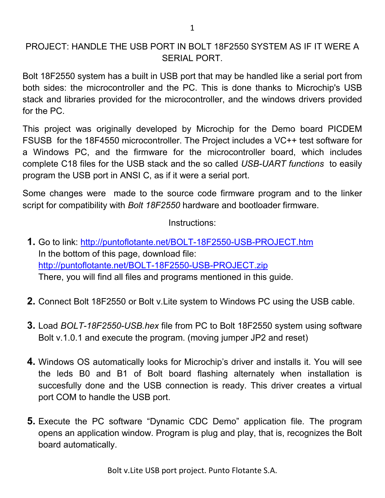## PROJECT: HANDLE THE USB PORT IN BOLT 18F2550 SYSTEM AS IF IT WERE A SERIAL PORT.

Bolt 18F2550 system has a built in USB port that may be handled like a serial port from both sides: the microcontroller and the PC. This is done thanks to Microchip's USB stack and libraries provided for the microcontroller, and the windows drivers provided for the PC.

This project was originally developed by Microchip for the Demo board PICDEM FSUSB for the 18F4550 microcontroller. The Project includes a VC++ test software for a Windows PC, and the firmware for the microcontroller board, which includes complete C18 files for the USB stack and the so called *USB-UART functions* to easily program the USB port in ANSI C, as if it were a serial port.

Some changes were made to the source code firmware program and to the linker script for compatibility with *Bolt 18F2550* hardware and bootloader firmware.

Instructions:

- **1.** Go to link: http://puntoflotante.net/BOLT-18F2550-USB-PROJECT.htm In the bottom of this page, download file: http://puntoflotante.net/BOLT-18F2550-USB-PROJECT.zip There, you will find all files and programs mentioned in this guide.
- **2.** Connect Bolt 18F2550 or Bolt v.Lite system to Windows PC using the USB cable.
- **3.** Load *BOLT-18F2550-USB.hex* file from PC to Bolt 18F2550 system using software Bolt v.1.0.1 and execute the program. (moving jumper JP2 and reset)
- **4.** Windows OS automatically looks for Microchip's driver and installs it. You will see the leds B0 and B1 of Bolt board flashing alternately when installation is succesfully done and the USB connection is ready. This driver creates a virtual port COM to handle the USB port.
- **5.** Execute the PC software "Dynamic CDC Demo" application file. The program opens an application window. Program is plug and play, that is, recognizes the Bolt board automatically.

Bolt v.Lite USB port project. Punto Flotante S.A.